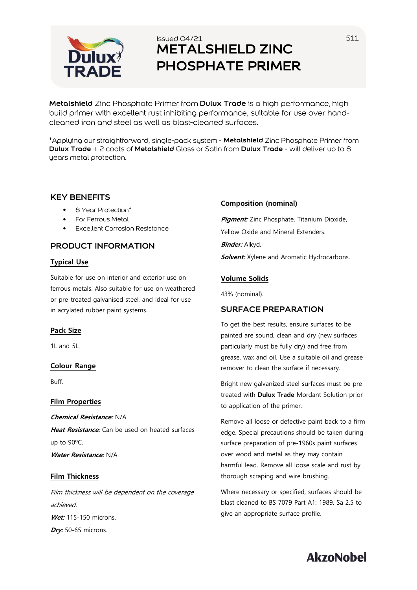

## Issued 04/21 **METALSHIELD ZINC PHOSPHATE PRIMER**

**Metalshield** Zinc Phosphate Primer from **Dulux Trade** is a high performance, high build primer with excellent rust inhibiting performance, suitable for use over handcleaned iron and steel as well as blast-cleaned surfaces.

\*Applying our straightforward, single-pack system - **Metalshield** Zinc Phosphate Primer from **Dulux Trade** + 2 coats of **Metalshield** Gloss or Satin from **Dulux Trade** - will deliver up to 8 years metal protection.

## **KEY BENEFITS**

- 8 Year Protection\*
- For Ferrous Metal •
- Excellent Corrosion Resistance •

## **PRODUCT INFORMATION**

## **Typical Use**

Suitable for use on interior and exterior use on ferrous metals. Also suitable for use on weathered or pre-treated galvanised steel, and ideal for use in acrylated rubber paint systems.

## **Pack Size**

1L and 5L.

## **Colour Range**

Buff.

#### **Film Properties**

**Chemical Resistance:** N/A. **Heat Resistance:** Can be used on heated surfaces up to 90ºC. **Water Resistance:** N/A.

## **Film Thickness**

Film thickness will be dependent on the coverage achieved. **Wet:** 115-150 microns. **Dry:** 50-65 microns.

### **Composition (nominal)**

**Pigment:** Zinc Phosphate, Titanium Dioxide, Yellow Oxide and Mineral Extenders. **Binder:** Alkyd. **Solvent:** Xylene and Aromatic Hydrocarbons.

## **Volume Solids**

43% (nominal).

## **SURFACE PREPARATION**

To get the best results, ensure surfaces to be painted are sound, clean and dry (new surfaces particularly must be fully dry) and free from grease, wax and oil. Use a suitable oil and grease remover to clean the surface if necessary.

Bright new galvanized steel surfaces must be pretreated with **Dulux Trade** Mordant Solution prior to application of the primer.

Remove all loose or defective paint back to a firm edge. Special precautions should be taken during surface preparation of pre-1960s paint surfaces over wood and metal as they may contain harmful lead. Remove all loose scale and rust by thorough scraping and wire brushing.

Where necessary or specified, surfaces should be blast cleaned to BS 7079 Part A1: 1989. Sa 2.5 to give an appropriate surface profile.

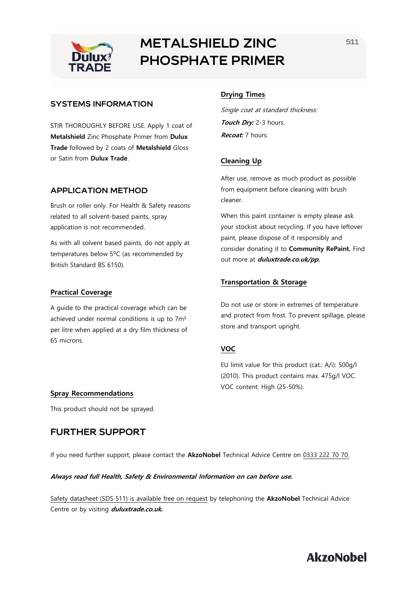

# **METALSHIELD ZINC PHOSPHATE PRIMER**

## **SYSTEMS INFORMATION**

STIR THOROUGHLY BEFORE USE. Apply 1 coat of **Metalshield** Zinc Phosphate Primer from **Dulux Trade** followed by 2 coats of **Metalshield** Gloss or Satin from **Dulux Trade**.

## **APPLICATION METHOD**

Brush or roller only. For Health & Safety reasons related to all solvent-based paints, spray application is not recommended.

As with all solvent based paints, do not apply at temperatures below 5ºC (as recommended by British Standard BS 6150).

#### **Practical Coverage**

A guide to the practical coverage which can be achieved under normal conditions is up to 7m² per litre when applied at a dry film thickness of 65 microns.

## **Drying Times**

Single coat at standard thickness: **Touch Dry:** 2-3 hours. **Recoat:** 7 hours.

## **Cleaning Up**

After use, remove as much product as possible from equipment before cleaning with brush cleaner.

When this paint container is empty please ask your stockist about recycling. If you have leftover paint, please dispose of it responsibly and consider donating it to **Community RePaint.** Find out more at **duluxtrade.co.uk/pp.**

### **Transportation & Storage**

Do not use or store in extremes of temperature and protect from frost. To prevent spillage, please store and transport upright.

## **VOC**

EU limit value for this product (cat.: A/i): 500g/l (2010). This product contains max. 475g/l VOC. VOC content: High (25-50%).

#### **Spray Recommendations**

This product should not be sprayed.

## **FURTHER SUPPORT**

If you need further support, please contact the **AkzoNobel** Technical Advice Centre on 0333 222 70 70.

#### **Always read full Health, Safety & Environmental Information on can before use.**

Safety datasheet (SDS 511) is available free on request by telephoning the **AkzoNobel** Technical Advice Centre or by visiting **duluxtrade.co.uk.**